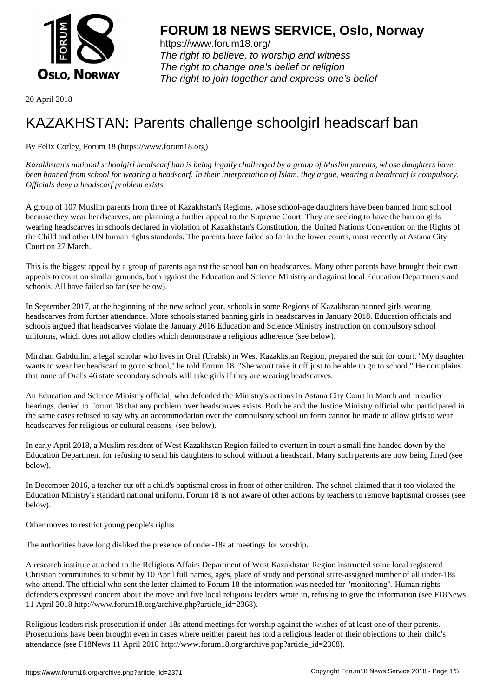

https://www.forum18.org/ The right to believe, to worship and witness The right to change one's belief or religion [The right to join together a](https://www.forum18.org/)nd express one's belief

20 April 2018

## [KAZAKHSTAN:](https://www.forum18.org) Parents challenge schoolgirl headscarf ban

By Felix Corley, Forum 18 (https://www.forum18.org)

*Kazakhstan's national schoolgirl headscarf ban is being legally challenged by a group of Muslim parents, whose daughters have been banned from school for wearing a headscarf. In their interpretation of Islam, they argue, wearing a headscarf is compulsory. Officials deny a headscarf problem exists.*

A group of 107 Muslim parents from three of Kazakhstan's Regions, whose school-age daughters have been banned from school because they wear headscarves, are planning a further appeal to the Supreme Court. They are seeking to have the ban on girls wearing headscarves in schools declared in violation of Kazakhstan's Constitution, the United Nations Convention on the Rights of the Child and other UN human rights standards. The parents have failed so far in the lower courts, most recently at Astana City Court on 27 March.

This is the biggest appeal by a group of parents against the school ban on headscarves. Many other parents have brought their own appeals to court on similar grounds, both against the Education and Science Ministry and against local Education Departments and schools. All have failed so far (see below).

In September 2017, at the beginning of the new school year, schools in some Regions of Kazakhstan banned girls wearing headscarves from further attendance. More schools started banning girls in headscarves in January 2018. Education officials and schools argued that headscarves violate the January 2016 Education and Science Ministry instruction on compulsory school uniforms, which does not allow clothes which demonstrate a religious adherence (see below).

Mirzhan Gabdullin, a legal scholar who lives in Oral (Uralsk) in West Kazakhstan Region, prepared the suit for court. "My daughter wants to wear her headscarf to go to school," he told Forum 18. "She won't take it off just to be able to go to school." He complains that none of Oral's 46 state secondary schools will take girls if they are wearing headscarves.

An Education and Science Ministry official, who defended the Ministry's actions in Astana City Court in March and in earlier hearings, denied to Forum 18 that any problem over headscarves exists. Both he and the Justice Ministry official who participated in the same cases refused to say why an accommodation over the compulsory school uniform cannot be made to allow girls to wear headscarves for religious or cultural reasons (see below).

In early April 2018, a Muslim resident of West Kazakhstan Region failed to overturn in court a small fine handed down by the Education Department for refusing to send his daughters to school without a headscarf. Many such parents are now being fined (see below).

In December 2016, a teacher cut off a child's baptismal cross in front of other children. The school claimed that it too violated the Education Ministry's standard national uniform. Forum 18 is not aware of other actions by teachers to remove baptismal crosses (see below).

Other moves to restrict young people's rights

The authorities have long disliked the presence of under-18s at meetings for worship.

A research institute attached to the Religious Affairs Department of West Kazakhstan Region instructed some local registered Christian communities to submit by 10 April full names, ages, place of study and personal state-assigned number of all under-18s who attend. The official who sent the letter claimed to Forum 18 the information was needed for "monitoring". Human rights defenders expressed concern about the move and five local religious leaders wrote in, refusing to give the information (see F18News 11 April 2018 http://www.forum18.org/archive.php?article\_id=2368).

Religious leaders risk prosecution if under-18s attend meetings for worship against the wishes of at least one of their parents. Prosecutions have been brought even in cases where neither parent has told a religious leader of their objections to their child's attendance (see F18News 11 April 2018 http://www.forum18.org/archive.php?article\_id=2368).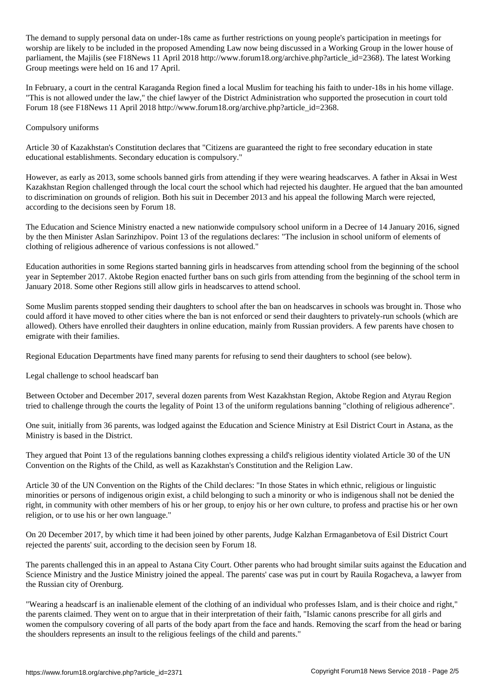The demand to supply personal data on under-18s came as further restrictions on young people's participation in meetings for worship are likely to be included in the proposed Amending Law now being discussed in a Working Group in the lower house of parliament, the Majilis (see F18News 11 April 2018 http://www.forum18.org/archive.php?article\_id=2368). The latest Working Group meetings were held on 16 and 17 April.

In February, a court in the central Karaganda Region fined a local Muslim for teaching his faith to under-18s in his home village. "This is not allowed under the law," the chief lawyer of the District Administration who supported the prosecution in court told Forum 18 (see F18News 11 April 2018 http://www.forum18.org/archive.php?article\_id=2368.

## Compulsory uniforms

Article 30 of Kazakhstan's Constitution declares that "Citizens are guaranteed the right to free secondary education in state educational establishments. Secondary education is compulsory."

However, as early as 2013, some schools banned girls from attending if they were wearing headscarves. A father in Aksai in West Kazakhstan Region challenged through the local court the school which had rejected his daughter. He argued that the ban amounted to discrimination on grounds of religion. Both his suit in December 2013 and his appeal the following March were rejected, according to the decisions seen by Forum 18.

The Education and Science Ministry enacted a new nationwide compulsory school uniform in a Decree of 14 January 2016, signed by the then Minister Aslan Sarinzhipov. Point 13 of the regulations declares: "The inclusion in school uniform of elements of clothing of religious adherence of various confessions is not allowed."

Education authorities in some Regions started banning girls in headscarves from attending school from the beginning of the school year in September 2017. Aktobe Region enacted further bans on such girls from attending from the beginning of the school term in January 2018. Some other Regions still allow girls in headscarves to attend school.

Some Muslim parents stopped sending their daughters to school after the ban on headscarves in schools was brought in. Those who could afford it have moved to other cities where the ban is not enforced or send their daughters to privately-run schools (which are allowed). Others have enrolled their daughters in online education, mainly from Russian providers. A few parents have chosen to emigrate with their families.

Regional Education Departments have fined many parents for refusing to send their daughters to school (see below).

Legal challenge to school headscarf ban

Between October and December 2017, several dozen parents from West Kazakhstan Region, Aktobe Region and Atyrau Region tried to challenge through the courts the legality of Point 13 of the uniform regulations banning "clothing of religious adherence".

One suit, initially from 36 parents, was lodged against the Education and Science Ministry at Esil District Court in Astana, as the Ministry is based in the District.

They argued that Point 13 of the regulations banning clothes expressing a child's religious identity violated Article 30 of the UN Convention on the Rights of the Child, as well as Kazakhstan's Constitution and the Religion Law.

Article 30 of the UN Convention on the Rights of the Child declares: "In those States in which ethnic, religious or linguistic minorities or persons of indigenous origin exist, a child belonging to such a minority or who is indigenous shall not be denied the right, in community with other members of his or her group, to enjoy his or her own culture, to profess and practise his or her own religion, or to use his or her own language."

On 20 December 2017, by which time it had been joined by other parents, Judge Kalzhan Ermaganbetova of Esil District Court rejected the parents' suit, according to the decision seen by Forum 18.

The parents challenged this in an appeal to Astana City Court. Other parents who had brought similar suits against the Education and Science Ministry and the Justice Ministry joined the appeal. The parents' case was put in court by Rauila Rogacheva, a lawyer from the Russian city of Orenburg.

"Wearing a headscarf is an inalienable element of the clothing of an individual who professes Islam, and is their choice and right," the parents claimed. They went on to argue that in their interpretation of their faith, "Islamic canons prescribe for all girls and women the compulsory covering of all parts of the body apart from the face and hands. Removing the scarf from the head or baring the shoulders represents an insult to the religious feelings of the child and parents."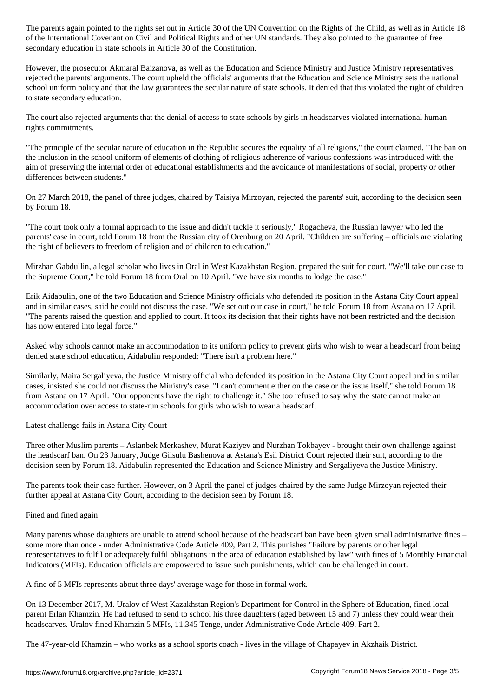of the International Covenant on Civil and Political Rights and other UN standards. They also pointed to the guarantee of free secondary education in state schools in Article 30 of the Constitution.

However, the prosecutor Akmaral Baizanova, as well as the Education and Science Ministry and Justice Ministry representatives, rejected the parents' arguments. The court upheld the officials' arguments that the Education and Science Ministry sets the national school uniform policy and that the law guarantees the secular nature of state schools. It denied that this violated the right of children to state secondary education.

The court also rejected arguments that the denial of access to state schools by girls in headscarves violated international human rights commitments.

"The principle of the secular nature of education in the Republic secures the equality of all religions," the court claimed. "The ban on the inclusion in the school uniform of elements of clothing of religious adherence of various confessions was introduced with the aim of preserving the internal order of educational establishments and the avoidance of manifestations of social, property or other differences between students."

On 27 March 2018, the panel of three judges, chaired by Taisiya Mirzoyan, rejected the parents' suit, according to the decision seen by Forum 18.

"The court took only a formal approach to the issue and didn't tackle it seriously," Rogacheva, the Russian lawyer who led the parents' case in court, told Forum 18 from the Russian city of Orenburg on 20 April. "Children are suffering – officials are violating the right of believers to freedom of religion and of children to education."

Mirzhan Gabdullin, a legal scholar who lives in Oral in West Kazakhstan Region, prepared the suit for court. "We'll take our case to the Supreme Court," he told Forum 18 from Oral on 10 April. "We have six months to lodge the case."

Erik Aidabulin, one of the two Education and Science Ministry officials who defended its position in the Astana City Court appeal and in similar cases, said he could not discuss the case. "We set out our case in court," he told Forum 18 from Astana on 17 April. "The parents raised the question and applied to court. It took its decision that their rights have not been restricted and the decision has now entered into legal force."

Asked why schools cannot make an accommodation to its uniform policy to prevent girls who wish to wear a headscarf from being denied state school education, Aidabulin responded: "There isn't a problem here."

Similarly, Maira Sergaliyeva, the Justice Ministry official who defended its position in the Astana City Court appeal and in similar cases, insisted she could not discuss the Ministry's case. "I can't comment either on the case or the issue itself," she told Forum 18 from Astana on 17 April. "Our opponents have the right to challenge it." She too refused to say why the state cannot make an accommodation over access to state-run schools for girls who wish to wear a headscarf.

Latest challenge fails in Astana City Court

Three other Muslim parents – Aslanbek Merkashev, Murat Kaziyev and Nurzhan Tokbayev - brought their own challenge against the headscarf ban. On 23 January, Judge Gilsulu Bashenova at Astana's Esil District Court rejected their suit, according to the decision seen by Forum 18. Aidabulin represented the Education and Science Ministry and Sergaliyeva the Justice Ministry.

The parents took their case further. However, on 3 April the panel of judges chaired by the same Judge Mirzoyan rejected their further appeal at Astana City Court, according to the decision seen by Forum 18.

## Fined and fined again

Many parents whose daughters are unable to attend school because of the headscarf ban have been given small administrative fines – some more than once - under Administrative Code Article 409, Part 2. This punishes "Failure by parents or other legal representatives to fulfil or adequately fulfil obligations in the area of education established by law" with fines of 5 Monthly Financial Indicators (MFIs). Education officials are empowered to issue such punishments, which can be challenged in court.

A fine of 5 MFIs represents about three days' average wage for those in formal work.

On 13 December 2017, M. Uralov of West Kazakhstan Region's Department for Control in the Sphere of Education, fined local parent Erlan Khamzin. He had refused to send to school his three daughters (aged between 15 and 7) unless they could wear their headscarves. Uralov fined Khamzin 5 MFIs, 11,345 Tenge, under Administrative Code Article 409, Part 2.

The 47-year-old Khamzin – who works as a school sports coach - lives in the village of Chapayev in Akzhaik District.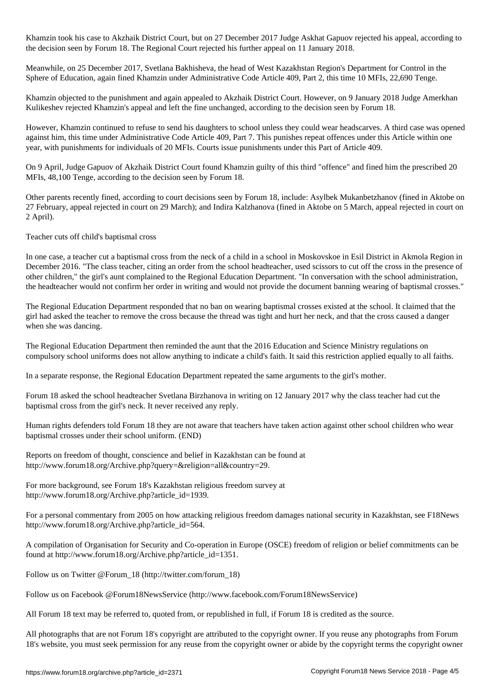Khamzin took his case to Akzhaik District Court, but on 27 December 2017 Judge Askhat Gapuov rejected his appeal, according to the decision seen by Forum 18. The Regional Court rejected his further appeal on 11 January 2018.

Meanwhile, on 25 December 2017, Svetlana Bakhisheva, the head of West Kazakhstan Region's Department for Control in the Sphere of Education, again fined Khamzin under Administrative Code Article 409, Part 2, this time 10 MFIs, 22,690 Tenge.

Khamzin objected to the punishment and again appealed to Akzhaik District Court. However, on 9 January 2018 Judge Amerkhan Kulikeshev rejected Khamzin's appeal and left the fine unchanged, according to the decision seen by Forum 18.

However, Khamzin continued to refuse to send his daughters to school unless they could wear headscarves. A third case was opened against him, this time under Administrative Code Article 409, Part 7. This punishes repeat offences under this Article within one year, with punishments for individuals of 20 MFIs. Courts issue punishments under this Part of Article 409.

On 9 April, Judge Gapuov of Akzhaik District Court found Khamzin guilty of this third "offence" and fined him the prescribed 20 MFIs, 48,100 Tenge, according to the decision seen by Forum 18.

Other parents recently fined, according to court decisions seen by Forum 18, include: Asylbek Mukanbetzhanov (fined in Aktobe on 27 February, appeal rejected in court on 29 March); and Indira Kalzhanova (fined in Aktobe on 5 March, appeal rejected in court on 2 April).

Teacher cuts off child's baptismal cross

In one case, a teacher cut a baptismal cross from the neck of a child in a school in Moskovskoe in Esil District in Akmola Region in December 2016. "The class teacher, citing an order from the school headteacher, used scissors to cut off the cross in the presence of other children," the girl's aunt complained to the Regional Education Department. "In conversation with the school administration, the headteacher would not confirm her order in writing and would not provide the document banning wearing of baptismal crosses."

The Regional Education Department responded that no ban on wearing baptismal crosses existed at the school. It claimed that the girl had asked the teacher to remove the cross because the thread was tight and hurt her neck, and that the cross caused a danger when she was dancing.

The Regional Education Department then reminded the aunt that the 2016 Education and Science Ministry regulations on compulsory school uniforms does not allow anything to indicate a child's faith. It said this restriction applied equally to all faiths.

In a separate response, the Regional Education Department repeated the same arguments to the girl's mother.

Forum 18 asked the school headteacher Svetlana Birzhanova in writing on 12 January 2017 why the class teacher had cut the baptismal cross from the girl's neck. It never received any reply.

Human rights defenders told Forum 18 they are not aware that teachers have taken action against other school children who wear baptismal crosses under their school uniform. (END)

Reports on freedom of thought, conscience and belief in Kazakhstan can be found at http://www.forum18.org/Archive.php?query=&religion=all&country=29.

For more background, see Forum 18's Kazakhstan religious freedom survey at http://www.forum18.org/Archive.php?article\_id=1939.

For a personal commentary from 2005 on how attacking religious freedom damages national security in Kazakhstan, see F18News http://www.forum18.org/Archive.php?article\_id=564.

A compilation of Organisation for Security and Co-operation in Europe (OSCE) freedom of religion or belief commitments can be found at http://www.forum18.org/Archive.php?article\_id=1351.

Follow us on Twitter @Forum\_18 (http://twitter.com/forum\_18)

Follow us on Facebook @Forum18NewsService (http://www.facebook.com/Forum18NewsService)

All Forum 18 text may be referred to, quoted from, or republished in full, if Forum 18 is credited as the source.

All photographs that are not Forum 18's copyright are attributed to the copyright owner. If you reuse any photographs from Forum 18's website, you must seek permission for any reuse from the copyright owner or abide by the copyright terms the copyright owner